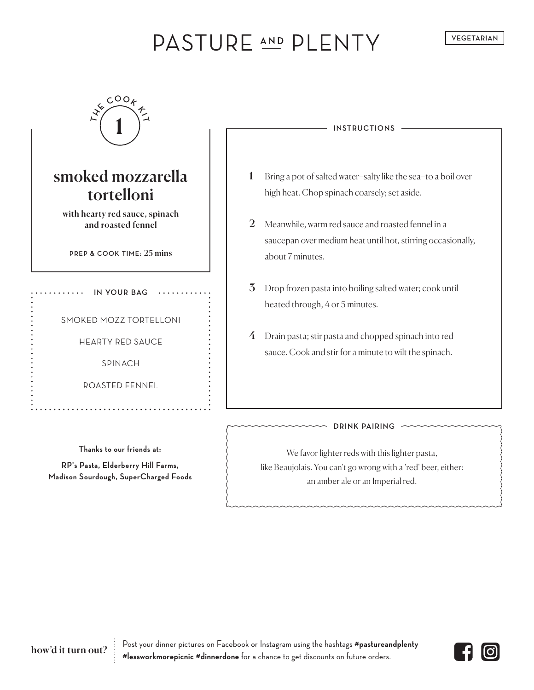# PASTURE AND PLENTY

**VEGETARIAN**

| <b>INSTRUCTIONS</b>                                                                                                                                  |
|------------------------------------------------------------------------------------------------------------------------------------------------------|
| Bring a pot of salted water-salty like the sea-to a boil over<br>high heat. Chop spinach coarsely; set aside.                                        |
| 2<br>Meanwhile, warm red sauce and roasted fennel in a<br>saucepan over medium heat until hot, stirring occasionally,<br>about 7 minutes.            |
| $\overline{3}$<br>Drop frozen pasta into boiling salted water; cook until<br>heated through, 4 or 5 minutes.                                         |
| Drain pasta; stir pasta and chopped spinach into red<br>4<br>sauce. Cook and stir for a minute to wilt the spinach.                                  |
| <b>DRINK PAIRING</b>                                                                                                                                 |
| We favor lighter reds with this lighter pasta,<br>like Beaujolais. You can't go wrong with a 'red' beer, either:<br>an amber ale or an Imperial red. |
|                                                                                                                                                      |